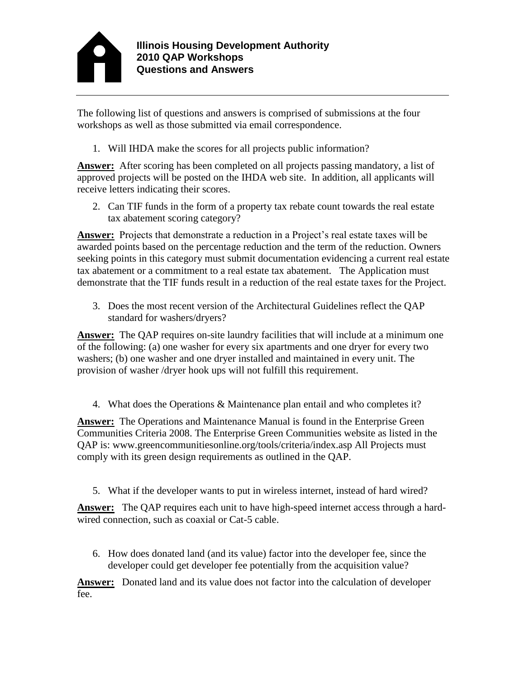

The following list of questions and answers is comprised of submissions at the four workshops as well as those submitted via email correspondence.

1. Will IHDA make the scores for all projects public information?

**Answer:** After scoring has been completed on all projects passing mandatory, a list of approved projects will be posted on the IHDA web site. In addition, all applicants will receive letters indicating their scores.

2. Can TIF funds in the form of a property tax rebate count towards the real estate tax abatement scoring category?

**Answer:** Projects that demonstrate a reduction in a Project's real estate taxes will be awarded points based on the percentage reduction and the term of the reduction. Owners seeking points in this category must submit documentation evidencing a current real estate tax abatement or a commitment to a real estate tax abatement. The Application must demonstrate that the TIF funds result in a reduction of the real estate taxes for the Project.

3. Does the most recent version of the Architectural Guidelines reflect the QAP standard for washers/dryers?

**Answer:** The QAP requires on-site laundry facilities that will include at a minimum one of the following: (a) one washer for every six apartments and one dryer for every two washers; (b) one washer and one dryer installed and maintained in every unit. The provision of washer /dryer hook ups will not fulfill this requirement.

4. What does the Operations & Maintenance plan entail and who completes it?

**Answer:** The Operations and Maintenance Manual is found in the Enterprise Green Communities Criteria 2008. The Enterprise Green Communities website as listed in the QAP is: www.greencommunitiesonline.org/tools/criteria/index.asp All Projects must comply with its green design requirements as outlined in the QAP.

5. What if the developer wants to put in wireless internet, instead of hard wired?

**Answer:** The QAP requires each unit to have high-speed internet access through a hardwired connection, such as coaxial or Cat-5 cable.

6. How does donated land (and its value) factor into the developer fee, since the developer could get developer fee potentially from the acquisition value?

**Answer:** Donated land and its value does not factor into the calculation of developer fee.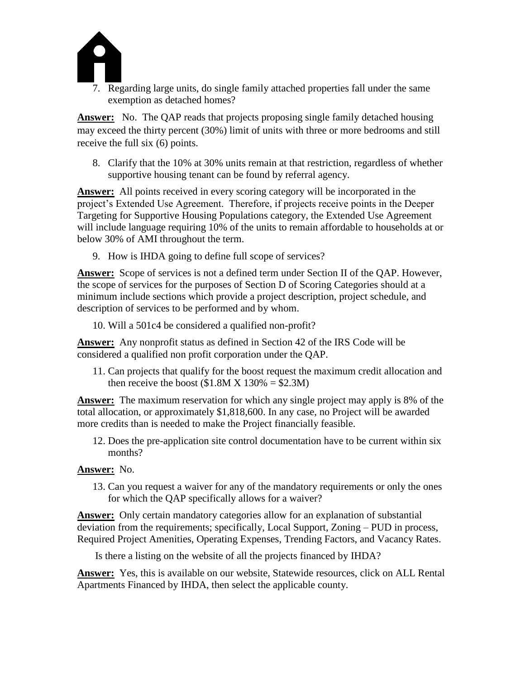

7. Regarding large units, do single family attached properties fall under the same exemption as detached homes?

**Answer:** No. The QAP reads that projects proposing single family detached housing may exceed the thirty percent (30%) limit of units with three or more bedrooms and still receive the full six (6) points.

8. Clarify that the 10% at 30% units remain at that restriction, regardless of whether supportive housing tenant can be found by referral agency.

**Answer:** All points received in every scoring category will be incorporated in the project's Extended Use Agreement. Therefore, if projects receive points in the Deeper Targeting for Supportive Housing Populations category, the Extended Use Agreement will include language requiring 10% of the units to remain affordable to households at or below 30% of AMI throughout the term.

9. How is IHDA going to define full scope of services?

**Answer:** Scope of services is not a defined term under Section II of the QAP. However, the scope of services for the purposes of Section D of Scoring Categories should at a minimum include sections which provide a project description, project schedule, and description of services to be performed and by whom.

10. Will a 501c4 be considered a qualified non-profit?

**Answer:** Any nonprofit status as defined in Section 42 of the IRS Code will be considered a qualified non profit corporation under the QAP.

11. Can projects that qualify for the boost request the maximum credit allocation and then receive the boost  $(\$1.8M X 130\% = \$2.3M)$ 

**Answer:** The maximum reservation for which any single project may apply is 8% of the total allocation, or approximately \$1,818,600. In any case, no Project will be awarded more credits than is needed to make the Project financially feasible.

12. Does the pre-application site control documentation have to be current within six months?

## **Answer:** No.

13. Can you request a waiver for any of the mandatory requirements or only the ones for which the QAP specifically allows for a waiver?

**Answer:** Only certain mandatory categories allow for an explanation of substantial deviation from the requirements; specifically, Local Support, Zoning – PUD in process, Required Project Amenities, Operating Expenses, Trending Factors, and Vacancy Rates.

Is there a listing on the website of all the projects financed by IHDA?

**Answer:** Yes, this is available on our website, Statewide resources, click on ALL Rental Apartments Financed by IHDA, then select the applicable county.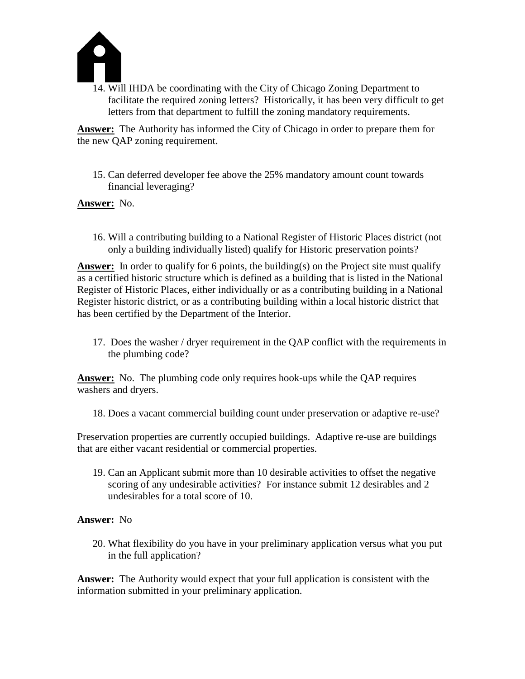

14. Will IHDA be coordinating with the City of Chicago Zoning Department to facilitate the required zoning letters? Historically, it has been very difficult to get letters from that department to fulfill the zoning mandatory requirements.

**Answer:** The Authority has informed the City of Chicago in order to prepare them for the new QAP zoning requirement.

15. Can deferred developer fee above the 25% mandatory amount count towards financial leveraging?

**Answer:** No.

16. Will a contributing building to a National Register of Historic Places district (not only a building individually listed) qualify for Historic preservation points?

Answer: In order to qualify for 6 points, the building(s) on the Project site must qualify as a certified historic structure which is defined as a building that is listed in the National Register of Historic Places, either individually or as a contributing building in a National Register historic district, or as a contributing building within a local historic district that has been certified by the Department of the Interior.

17. Does the washer / dryer requirement in the QAP conflict with the requirements in the plumbing code?

**Answer:** No. The plumbing code only requires hook-ups while the QAP requires washers and dryers.

18. Does a vacant commercial building count under preservation or adaptive re-use?

Preservation properties are currently occupied buildings. Adaptive re-use are buildings that are either vacant residential or commercial properties.

19. Can an Applicant submit more than 10 desirable activities to offset the negative scoring of any undesirable activities? For instance submit 12 desirables and 2 undesirables for a total score of 10.

## **Answer:** No

20. What flexibility do you have in your preliminary application versus what you put in the full application?

**Answer:** The Authority would expect that your full application is consistent with the information submitted in your preliminary application.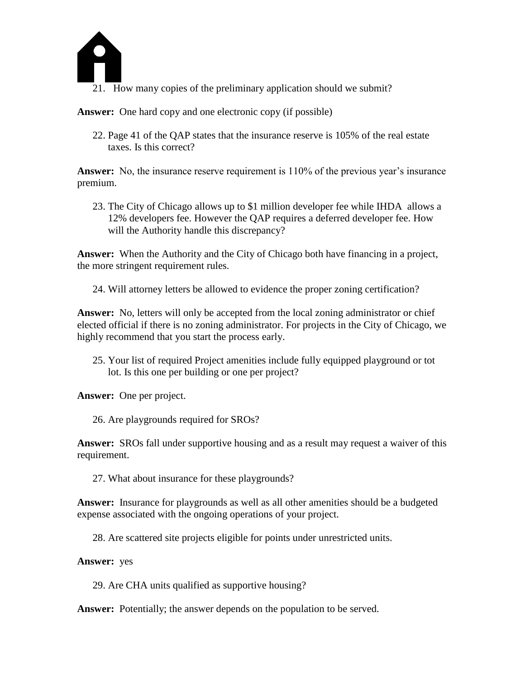

21. How many copies of the preliminary application should we submit?

**Answer:** One hard copy and one electronic copy (if possible)

22. Page 41 of the QAP states that the insurance reserve is 105% of the real estate taxes. Is this correct?

**Answer:** No, the insurance reserve requirement is 110% of the previous year's insurance premium.

23. The City of Chicago allows up to \$1 million developer fee while IHDA allows a 12% developers fee. However the QAP requires a deferred developer fee. How will the Authority handle this discrepancy?

**Answer:** When the Authority and the City of Chicago both have financing in a project, the more stringent requirement rules.

24. Will attorney letters be allowed to evidence the proper zoning certification?

**Answer:** No, letters will only be accepted from the local zoning administrator or chief elected official if there is no zoning administrator. For projects in the City of Chicago, we highly recommend that you start the process early.

25. Your list of required Project amenities include fully equipped playground or tot lot. Is this one per building or one per project?

**Answer:** One per project.

26. Are playgrounds required for SROs?

**Answer:** SROs fall under supportive housing and as a result may request a waiver of this requirement.

27. What about insurance for these playgrounds?

**Answer:** Insurance for playgrounds as well as all other amenities should be a budgeted expense associated with the ongoing operations of your project.

28. Are scattered site projects eligible for points under unrestricted units.

**Answer:** yes

29. Are CHA units qualified as supportive housing?

**Answer:** Potentially; the answer depends on the population to be served.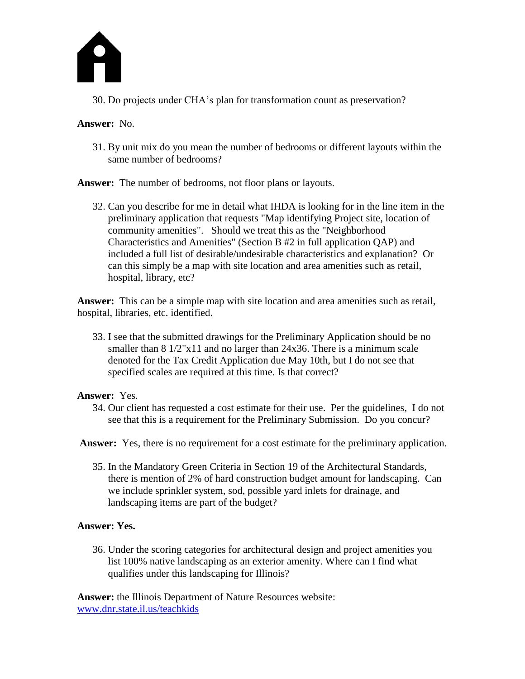

30. Do projects under CHA's plan for transformation count as preservation?

**Answer:** No.

31. By unit mix do you mean the number of bedrooms or different layouts within the same number of bedrooms?

**Answer:** The number of bedrooms, not floor plans or layouts.

32. Can you describe for me in detail what IHDA is looking for in the line item in the preliminary application that requests "Map identifying Project site, location of community amenities". Should we treat this as the "Neighborhood Characteristics and Amenities" (Section B #2 in full application QAP) and included a full list of desirable/undesirable characteristics and explanation? Or can this simply be a map with site location and area amenities such as retail, hospital, library, etc?

**Answer:** This can be a simple map with site location and area amenities such as retail, hospital, libraries, etc. identified.

33. I see that the submitted drawings for the Preliminary Application should be no smaller than 8 1/2"x11 and no larger than 24x36. There is a minimum scale denoted for the Tax Credit Application due May 10th, but I do not see that specified scales are required at this time. Is that correct?

## **Answer:** Yes.

34. Our client has requested a cost estimate for their use. Per the guidelines, I do not see that this is a requirement for the Preliminary Submission. Do you concur?

Answer: Yes, there is no requirement for a cost estimate for the preliminary application.

35. In the Mandatory Green Criteria in Section 19 of the Architectural Standards, there is mention of 2% of hard construction budget amount for landscaping. Can we include sprinkler system, sod, possible yard inlets for drainage, and landscaping items are part of the budget?

## **Answer: Yes.**

36. Under the scoring categories for architectural design and project amenities you list 100% native landscaping as an exterior amenity. Where can I find what qualifies under this landscaping for Illinois?

**Answer:** the Illinois Department of Nature Resources website: [www.dnr.state.il.us/teachkids](http://www.dnr.state.il.us/teachkids)